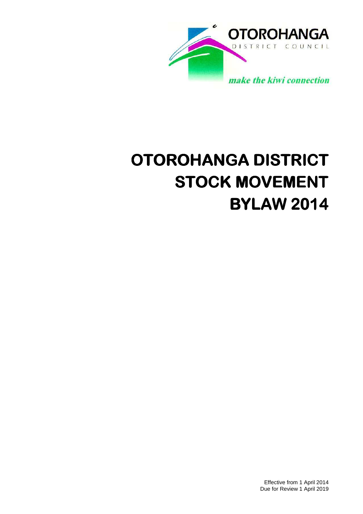

# **OTOROHANGA DISTRICT STOCK MOVEMENT BYLAW 2014**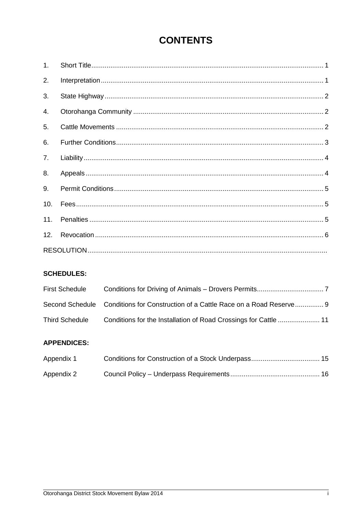# **CONTENTS**

| 1 <sub>1</sub> |  |  |  |  |
|----------------|--|--|--|--|
| 2.             |  |  |  |  |
| 3.             |  |  |  |  |
| 4.             |  |  |  |  |
| 5 <sub>1</sub> |  |  |  |  |
| 6.             |  |  |  |  |
| 7 <sub>1</sub> |  |  |  |  |
| 8.             |  |  |  |  |
| 9.             |  |  |  |  |
| 10.            |  |  |  |  |
| 11.            |  |  |  |  |
| 12.            |  |  |  |  |
|                |  |  |  |  |

# **SCHEDULES:**

| <b>First Schedule</b> |                                                                                  |
|-----------------------|----------------------------------------------------------------------------------|
|                       | Second Schedule Conditions for Construction of a Cattle Race on a Road Reserve 9 |
| <b>Third Schedule</b> |                                                                                  |

# **APPENDICES:**

| Appendix 1 |  |
|------------|--|
| Appendix 2 |  |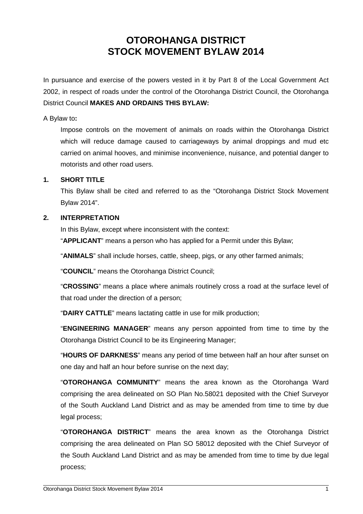# **OTOROHANGA DISTRICT STOCK MOVEMENT BYLAW 2014**

In pursuance and exercise of the powers vested in it by Part 8 of the Local Government Act 2002, in respect of roads under the control of the Otorohanga District Council, the Otorohanga District Council **MAKES AND ORDAINS THIS BYLAW:**

#### A Bylaw to**:**

Impose controls on the movement of animals on roads within the Otorohanga District which will reduce damage caused to carriageways by animal droppings and mud etc carried on animal hooves, and minimise inconvenience, nuisance, and potential danger to motorists and other road users.

#### **1. SHORT TITLE**

 This Bylaw shall be cited and referred to as the "Otorohanga District Stock Movement Bylaw 2014".

#### **2. INTERPRETATION**

In this Bylaw, except where inconsistent with the context:

"**APPLICANT**" means a person who has applied for a Permit under this Bylaw;

"**ANIMALS**" shall include horses, cattle, sheep, pigs, or any other farmed animals;

"**COUNCIL**" means the Otorohanga District Council;

"**CROSSING**" means a place where animals routinely cross a road at the surface level of that road under the direction of a person;

"**DAIRY CATTLE**" means lactating cattle in use for milk production;

"**ENGINEERING MANAGER**" means any person appointed from time to time by the Otorohanga District Council to be its Engineering Manager;

"**HOURS OF DARKNESS**" means any period of time between half an hour after sunset on one day and half an hour before sunrise on the next day;

"**OTOROHANGA COMMUNITY**" means the area known as the Otorohanga Ward comprising the area delineated on SO Plan No.58021 deposited with the Chief Surveyor of the South Auckland Land District and as may be amended from time to time by due legal process;

"**OTOROHANGA DISTRICT**" means the area known as the Otorohanga District comprising the area delineated on Plan SO 58012 deposited with the Chief Surveyor of the South Auckland Land District and as may be amended from time to time by due legal process;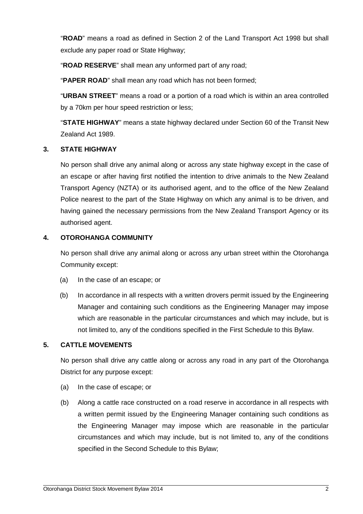"**ROAD**" means a road as defined in Section 2 of the Land Transport Act 1998 but shall exclude any paper road or State Highway;

"**ROAD RESERVE**" shall mean any unformed part of any road;

"**PAPER ROAD**" shall mean any road which has not been formed;

"**URBAN STREET**" means a road or a portion of a road which is within an area controlled by a 70km per hour speed restriction or less;

"**STATE HIGHWAY**" means a state highway declared under Section 60 of the Transit New Zealand Act 1989.

## **3. STATE HIGHWAY**

No person shall drive any animal along or across any state highway except in the case of an escape or after having first notified the intention to drive animals to the New Zealand Transport Agency (NZTA) or its authorised agent, and to the office of the New Zealand Police nearest to the part of the State Highway on which any animal is to be driven, and having gained the necessary permissions from the New Zealand Transport Agency or its authorised agent.

## **4. OTOROHANGA COMMUNITY**

No person shall drive any animal along or across any urban street within the Otorohanga Community except:

- (a) In the case of an escape; or
- (b) In accordance in all respects with a written drovers permit issued by the Engineering Manager and containing such conditions as the Engineering Manager may impose which are reasonable in the particular circumstances and which may include, but is not limited to, any of the conditions specified in the First Schedule to this Bylaw.

#### **5. CATTLE MOVEMENTS**

No person shall drive any cattle along or across any road in any part of the Otorohanga District for any purpose except:

- (a) In the case of escape; or
- (b) Along a cattle race constructed on a road reserve in accordance in all respects with a written permit issued by the Engineering Manager containing such conditions as the Engineering Manager may impose which are reasonable in the particular circumstances and which may include, but is not limited to, any of the conditions specified in the Second Schedule to this Bylaw;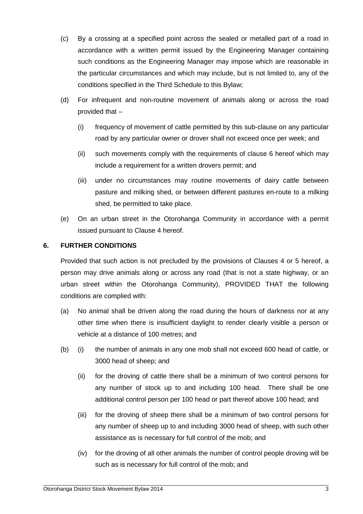- (c) By a crossing at a specified point across the sealed or metalled part of a road in accordance with a written permit issued by the Engineering Manager containing such conditions as the Engineering Manager may impose which are reasonable in the particular circumstances and which may include, but is not limited to, any of the conditions specified in the Third Schedule to this Bylaw;
- (d) For infrequent and non-routine movement of animals along or across the road provided that –
	- (i) frequency of movement of cattle permitted by this sub-clause on any particular road by any particular owner or drover shall not exceed once per week; and
	- (ii) such movements comply with the requirements of clause 6 hereof which may include a requirement for a written drovers permit; and
	- (iii) under no circumstances may routine movements of dairy cattle between pasture and milking shed, or between different pastures en-route to a milking shed, be permitted to take place.
- (e) On an urban street in the Otorohanga Community in accordance with a permit issued pursuant to Clause 4 hereof.

## **6. FURTHER CONDITIONS**

Provided that such action is not precluded by the provisions of Clauses 4 or 5 hereof, a person may drive animals along or across any road (that is not a state highway, or an urban street within the Otorohanga Community), PROVIDED THAT the following conditions are complied with:

- (a) No animal shall be driven along the road during the hours of darkness nor at any other time when there is insufficient daylight to render clearly visible a person or vehicle at a distance of 100 metres; and
- (b) (i) the number of animals in any one mob shall not exceed 600 head of cattle, or 3000 head of sheep; and
	- (ii) for the droving of cattle there shall be a minimum of two control persons for any number of stock up to and including 100 head. There shall be one additional control person per 100 head or part thereof above 100 head; and
	- (iii) for the droving of sheep there shall be a minimum of two control persons for any number of sheep up to and including 3000 head of sheep, with such other assistance as is necessary for full control of the mob; and
	- (iv) for the droving of all other animals the number of control people droving will be such as is necessary for full control of the mob; and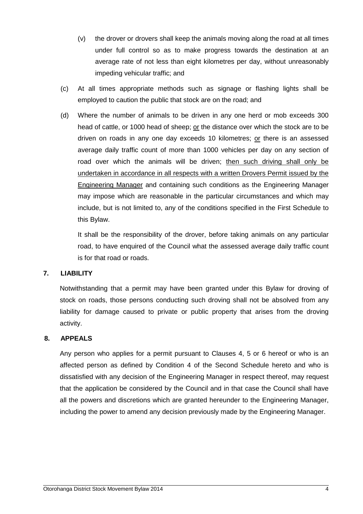- (v) the drover or drovers shall keep the animals moving along the road at all times under full control so as to make progress towards the destination at an average rate of not less than eight kilometres per day, without unreasonably impeding vehicular traffic; and
- (c) At all times appropriate methods such as signage or flashing lights shall be employed to caution the public that stock are on the road; and
- (d) Where the number of animals to be driven in any one herd or mob exceeds 300 head of cattle, or 1000 head of sheep; or the distance over which the stock are to be driven on roads in any one day exceeds 10 kilometres; or there is an assessed average daily traffic count of more than 1000 vehicles per day on any section of road over which the animals will be driven; then such driving shall only be undertaken in accordance in all respects with a written Drovers Permit issued by the Engineering Manager and containing such conditions as the Engineering Manager may impose which are reasonable in the particular circumstances and which may include, but is not limited to, any of the conditions specified in the First Schedule to this Bylaw.

It shall be the responsibility of the drover, before taking animals on any particular road, to have enquired of the Council what the assessed average daily traffic count is for that road or roads.

#### **7. LIABILITY**

Notwithstanding that a permit may have been granted under this Bylaw for droving of stock on roads, those persons conducting such droving shall not be absolved from any liability for damage caused to private or public property that arises from the droving activity.

#### **8. APPEALS**

Any person who applies for a permit pursuant to Clauses 4, 5 or 6 hereof or who is an affected person as defined by Condition 4 of the Second Schedule hereto and who is dissatisfied with any decision of the Engineering Manager in respect thereof, may request that the application be considered by the Council and in that case the Council shall have all the powers and discretions which are granted hereunder to the Engineering Manager, including the power to amend any decision previously made by the Engineering Manager.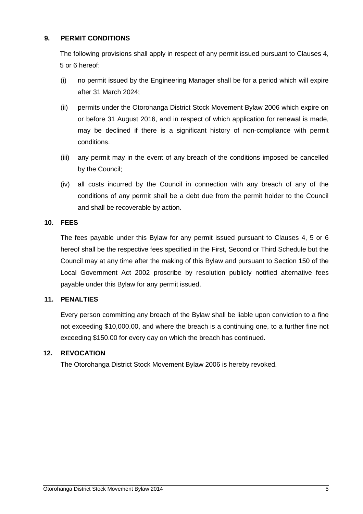#### **9. PERMIT CONDITIONS**

The following provisions shall apply in respect of any permit issued pursuant to Clauses 4, 5 or 6 hereof:

- (i) no permit issued by the Engineering Manager shall be for a period which will expire after 31 March 2024;
- (ii) permits under the Otorohanga District Stock Movement Bylaw 2006 which expire on or before 31 August 2016, and in respect of which application for renewal is made, may be declined if there is a significant history of non-compliance with permit conditions.
- (iii) any permit may in the event of any breach of the conditions imposed be cancelled by the Council;
- (iv) all costs incurred by the Council in connection with any breach of any of the conditions of any permit shall be a debt due from the permit holder to the Council and shall be recoverable by action.

#### **10. FEES**

 The fees payable under this Bylaw for any permit issued pursuant to Clauses 4, 5 or 6 hereof shall be the respective fees specified in the First, Second or Third Schedule but the Council may at any time after the making of this Bylaw and pursuant to Section 150 of the Local Government Act 2002 proscribe by resolution publicly notified alternative fees payable under this Bylaw for any permit issued.

# **11. PENALTIES**

 Every person committing any breach of the Bylaw shall be liable upon conviction to a fine not exceeding \$10,000.00, and where the breach is a continuing one, to a further fine not exceeding \$150.00 for every day on which the breach has continued.

# **12. REVOCATION**

The Otorohanga District Stock Movement Bylaw 2006 is hereby revoked.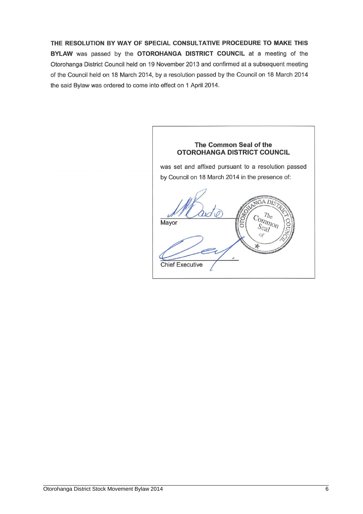THE RESOLUTION BY WAY OF SPECIAL CONSULTATIVE PROCEDURE TO MAKE THIS BYLAW was passed by the OTOROHANGA DISTRICT COUNCIL at a meeting of the Otorohanga District Council held on 19 November 2013 and confirmed at a subsequent meeting of the Council held on 18 March 2014, by a resolution passed by the Council on 18 March 2014 the said Bylaw was ordered to come into effect on 1 April 2014.

The Common Seal of the **OTOROHANGA DISTRICT COUNCIL** was set and affixed pursuant to a resolution passed by Council on 18 March 2014 in the presence of: GA DIS  $T_{hc}$  $\frac{C_{O}}{S_{O}}$ Mayor 5 Seal of **Chief Executive**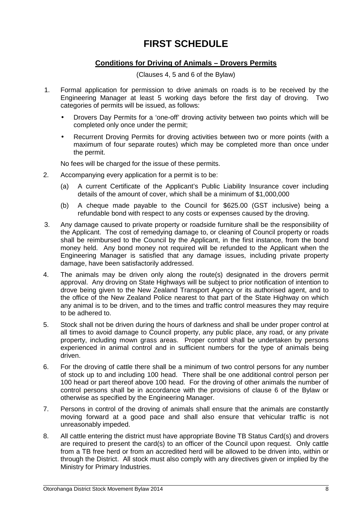# **FIRST SCHEDULE**

# **Conditions for Driving of Animals – Drovers Permits**

(Clauses 4, 5 and 6 of the Bylaw)

- 1. Formal application for permission to drive animals on roads is to be received by the Engineering Manager at least 5 working days before the first day of droving. Two categories of permits will be issued, as follows:
	- Drovers Day Permits for a 'one-off' droving activity between two points which will be completed only once under the permit;
	- Recurrent Droving Permits for droving activities between two or more points (with a maximum of four separate routes) which may be completed more than once under the permit.

No fees will be charged for the issue of these permits.

- 2. Accompanying every application for a permit is to be:
	- (a) A current Certificate of the Applicant's Public Liability Insurance cover including details of the amount of cover, which shall be a minimum of \$1,000,000
	- (b) A cheque made payable to the Council for \$625.00 (GST inclusive) being a refundable bond with respect to any costs or expenses caused by the droving.
- 3. Any damage caused to private property or roadside furniture shall be the responsibility of the Applicant. The cost of remedying damage to, or cleaning of Council property or roads shall be reimbursed to the Council by the Applicant, in the first instance, from the bond money held. Any bond money not required will be refunded to the Applicant when the Engineering Manager is satisfied that any damage issues, including private property damage, have been satisfactorily addressed.
- 4. The animals may be driven only along the route(s) designated in the drovers permit approval. Any droving on State Highways will be subject to prior notification of intention to drove being given to the New Zealand Transport Agency or its authorised agent, and to the office of the New Zealand Police nearest to that part of the State Highway on which any animal is to be driven, and to the times and traffic control measures they may require to be adhered to.
- 5. Stock shall not be driven during the hours of darkness and shall be under proper control at all times to avoid damage to Council property, any public place, any road, or any private property, including mown grass areas. Proper control shall be undertaken by persons experienced in animal control and in sufficient numbers for the type of animals being driven.
- 6. For the droving of cattle there shall be a minimum of two control persons for any number of stock up to and including 100 head. There shall be one additional control person per 100 head or part thereof above 100 head. For the droving of other animals the number of control persons shall be in accordance with the provisions of clause 6 of the Bylaw or otherwise as specified by the Engineering Manager.
- 7. Persons in control of the droving of animals shall ensure that the animals are constantly moving forward at a good pace and shall also ensure that vehicular traffic is not unreasonably impeded.
- 8. All cattle entering the district must have appropriate Bovine TB Status Card(s) and drovers are required to present the card(s) to an officer of the Council upon request. Only cattle from a TB free herd or from an accredited herd will be allowed to be driven into, within or through the District. All stock must also comply with any directives given or implied by the Ministry for Primary Industries.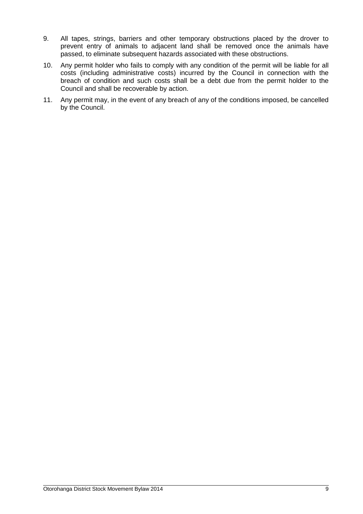- 9. All tapes, strings, barriers and other temporary obstructions placed by the drover to prevent entry of animals to adjacent land shall be removed once the animals have passed, to eliminate subsequent hazards associated with these obstructions.
- 10. Any permit holder who fails to comply with any condition of the permit will be liable for all costs (including administrative costs) incurred by the Council in connection with the breach of condition and such costs shall be a debt due from the permit holder to the Council and shall be recoverable by action.
- 11. Any permit may, in the event of any breach of any of the conditions imposed, be cancelled by the Council.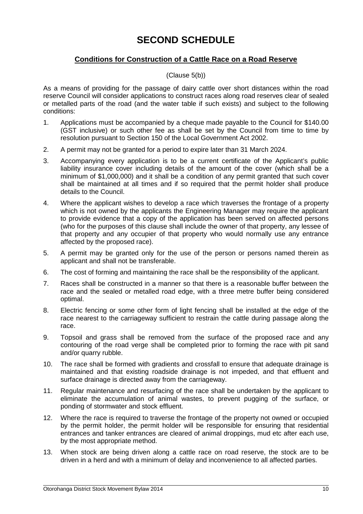# **SECOND SCHEDULE**

# **Conditions for Construction of a Cattle Race on a Road Reserve**

#### (Clause 5(b))

As a means of providing for the passage of dairy cattle over short distances within the road reserve Council will consider applications to construct races along road reserves clear of sealed or metalled parts of the road (and the water table if such exists) and subject to the following conditions:

- 1. Applications must be accompanied by a cheque made payable to the Council for \$140.00 (GST inclusive) or such other fee as shall be set by the Council from time to time by resolution pursuant to Section 150 of the Local Government Act 2002.
- 2. A permit may not be granted for a period to expire later than 31 March 2024.
- 3. Accompanying every application is to be a current certificate of the Applicant's public liability insurance cover including details of the amount of the cover (which shall be a minimum of \$1,000,000) and it shall be a condition of any permit granted that such cover shall be maintained at all times and if so required that the permit holder shall produce details to the Council.
- 4. Where the applicant wishes to develop a race which traverses the frontage of a property which is not owned by the applicants the Engineering Manager may require the applicant to provide evidence that a copy of the application has been served on affected persons (who for the purposes of this clause shall include the owner of that property, any lessee of that property and any occupier of that property who would normally use any entrance affected by the proposed race).
- 5. A permit may be granted only for the use of the person or persons named therein as applicant and shall not be transferable.
- 6. The cost of forming and maintaining the race shall be the responsibility of the applicant.
- 7. Races shall be constructed in a manner so that there is a reasonable buffer between the race and the sealed or metalled road edge, with a three metre buffer being considered optimal.
- 8. Electric fencing or some other form of light fencing shall be installed at the edge of the race nearest to the carriageway sufficient to restrain the cattle during passage along the race.
- 9. Topsoil and grass shall be removed from the surface of the proposed race and any contouring of the road verge shall be completed prior to forming the race with pit sand and/or quarry rubble.
- 10. The race shall be formed with gradients and crossfall to ensure that adequate drainage is maintained and that existing roadside drainage is not impeded, and that effluent and surface drainage is directed away from the carriageway.
- 11. Regular maintenance and resurfacing of the race shall be undertaken by the applicant to eliminate the accumulation of animal wastes, to prevent pugging of the surface, or ponding of stormwater and stock effluent.
- 12. Where the race is required to traverse the frontage of the property not owned or occupied by the permit holder, the permit holder will be responsible for ensuring that residential entrances and tanker entrances are cleared of animal droppings, mud etc after each use, by the most appropriate method.
- 13. When stock are being driven along a cattle race on road reserve, the stock are to be driven in a herd and with a minimum of delay and inconvenience to all affected parties.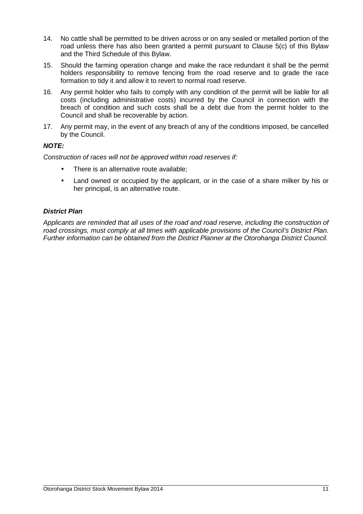- 14. No cattle shall be permitted to be driven across or on any sealed or metalled portion of the road unless there has also been granted a permit pursuant to Clause 5(c) of this Bylaw and the Third Schedule of this Bylaw.
- 15. Should the farming operation change and make the race redundant it shall be the permit holders responsibility to remove fencing from the road reserve and to grade the race formation to tidy it and allow it to revert to normal road reserve.
- 16. Any permit holder who fails to comply with any condition of the permit will be liable for all costs (including administrative costs) incurred by the Council in connection with the breach of condition and such costs shall be a debt due from the permit holder to the Council and shall be recoverable by action.
- 17. Any permit may, in the event of any breach of any of the conditions imposed, be cancelled by the Council.

#### **NOTE:**

Construction of races will not be approved within road reserves if:

- There is an alternative route available:
- Land owned or occupied by the applicant, or in the case of a share milker by his or her principal, is an alternative route.

#### **District Plan**

Applicants are reminded that all uses of the road and road reserve, including the construction of road crossings, must comply at all times with applicable provisions of the Council's District Plan. Further information can be obtained from the District Planner at the Otorohanga District Council.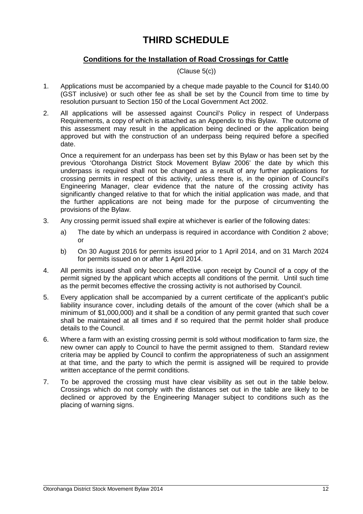# **THIRD SCHEDULE**

# **Conditions for the Installation of Road Crossings for Cattle**

(Clause 5(c))

- 1. Applications must be accompanied by a cheque made payable to the Council for \$140.00 (GST inclusive) or such other fee as shall be set by the Council from time to time by resolution pursuant to Section 150 of the Local Government Act 2002.
- 2. All applications will be assessed against Council's Policy in respect of Underpass Requirements, a copy of which is attached as an Appendix to this Bylaw. The outcome of this assessment may result in the application being declined or the application being approved but with the construction of an underpass being required before a specified date.

 Once a requirement for an underpass has been set by this Bylaw or has been set by the previous 'Otorohanga District Stock Movement Bylaw 2006' the date by which this underpass is required shall not be changed as a result of any further applications for crossing permits in respect of this activity, unless there is, in the opinion of Council's Engineering Manager, clear evidence that the nature of the crossing activity has significantly changed relative to that for which the initial application was made, and that the further applications are not being made for the purpose of circumventing the provisions of the Bylaw.

- 3. Any crossing permit issued shall expire at whichever is earlier of the following dates:
	- a) The date by which an underpass is required in accordance with Condition 2 above; or
	- b) On 30 August 2016 for permits issued prior to 1 April 2014, and on 31 March 2024 for permits issued on or after 1 April 2014.
- 4. All permits issued shall only become effective upon receipt by Council of a copy of the permit signed by the applicant which accepts all conditions of the permit. Until such time as the permit becomes effective the crossing activity is not authorised by Council.
- 5. Every application shall be accompanied by a current certificate of the applicant's public liability insurance cover, including details of the amount of the cover (which shall be a minimum of \$1,000,000) and it shall be a condition of any permit granted that such cover shall be maintained at all times and if so required that the permit holder shall produce details to the Council.
- 6. Where a farm with an existing crossing permit is sold without modification to farm size, the new owner can apply to Council to have the permit assigned to them. Standard review criteria may be applied by Council to confirm the appropriateness of such an assignment at that time, and the party to which the permit is assigned will be required to provide written acceptance of the permit conditions.
- 7. To be approved the crossing must have clear visibility as set out in the table below. Crossings which do not comply with the distances set out in the table are likely to be declined or approved by the Engineering Manager subject to conditions such as the placing of warning signs.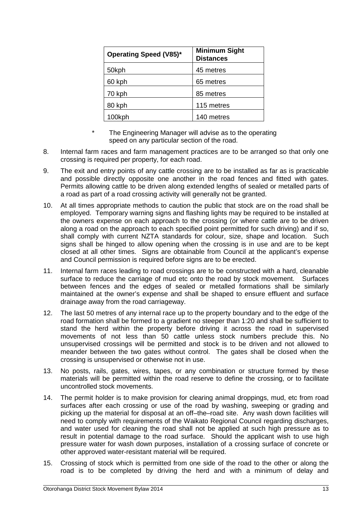| <b>Operating Speed (V85)*</b> | <b>Minimum Sight</b><br><b>Distances</b> |  |
|-------------------------------|------------------------------------------|--|
| 50kph                         | 45 metres                                |  |
| 60 kph                        | 65 metres                                |  |
| 70 kph                        | 85 metres                                |  |
| 80 kph                        | 115 metres                               |  |
| 100kph                        | 140 metres                               |  |

- \* The Engineering Manager will advise as to the operating speed on any particular section of the road.
- 8. Internal farm races and farm management practices are to be arranged so that only one crossing is required per property, for each road.
- 9. The exit and entry points of any cattle crossing are to be installed as far as is practicable and possible directly opposite one another in the road fences and fitted with gates. Permits allowing cattle to be driven along extended lengths of sealed or metalled parts of a road as part of a road crossing activity will generally not be granted.
- 10. At all times appropriate methods to caution the public that stock are on the road shall be employed. Temporary warning signs and flashing lights may be required to be installed at the owners expense on each approach to the crossing (or where cattle are to be driven along a road on the approach to each specified point permitted for such driving) and if so, shall comply with current NZTA standards for colour, size, shape and location. Such signs shall be hinged to allow opening when the crossing is in use and are to be kept closed at all other times. Signs are obtainable from Council at the applicant's expense and Council permission is required before signs are to be erected.
- 11. Internal farm races leading to road crossings are to be constructed with a hard, cleanable surface to reduce the carriage of mud etc onto the road by stock movement. Surfaces between fences and the edges of sealed or metalled formations shall be similarly maintained at the owner's expense and shall be shaped to ensure effluent and surface drainage away from the road carriageway.
- 12. The last 50 metres of any internal race up to the property boundary and to the edge of the road formation shall be formed to a gradient no steeper than 1:20 and shall be sufficient to stand the herd within the property before driving it across the road in supervised movements of not less than 50 cattle unless stock numbers preclude this. No unsupervised crossings will be permitted and stock is to be driven and not allowed to meander between the two gates without control. The gates shall be closed when the crossing is unsupervised or otherwise not in use.
- 13. No posts, rails, gates, wires, tapes, or any combination or structure formed by these materials will be permitted within the road reserve to define the crossing, or to facilitate uncontrolled stock movements.
- 14. The permit holder is to make provision for clearing animal droppings, mud, etc from road surfaces after each crossing or use of the road by washing, sweeping or grading and picking up the material for disposal at an off–the–road site. Any wash down facilities will need to comply with requirements of the Waikato Regional Council regarding discharges, and water used for cleaning the road shall not be applied at such high pressure as to result in potential damage to the road surface. Should the applicant wish to use high pressure water for wash down purposes, installation of a crossing surface of concrete or other approved water-resistant material will be required.
- 15. Crossing of stock which is permitted from one side of the road to the other or along the road is to be completed by driving the herd and with a minimum of delay and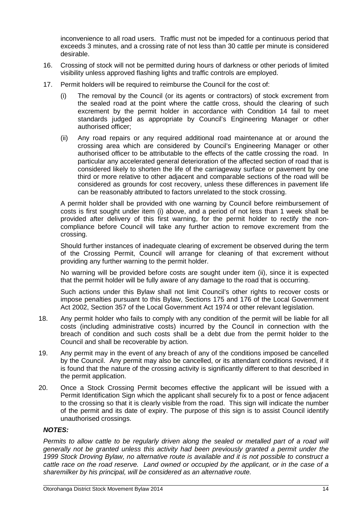inconvenience to all road users. Traffic must not be impeded for a continuous period that exceeds 3 minutes, and a crossing rate of not less than 30 cattle per minute is considered desirable.

- 16. Crossing of stock will not be permitted during hours of darkness or other periods of limited visibility unless approved flashing lights and traffic controls are employed.
- 17. Permit holders will be required to reimburse the Council for the cost of:
	- (i) The removal by the Council (or its agents or contractors) of stock excrement from the sealed road at the point where the cattle cross, should the clearing of such excrement by the permit holder in accordance with Condition 14 fail to meet standards judged as appropriate by Council's Engineering Manager or other authorised officer;
	- (ii) Any road repairs or any required additional road maintenance at or around the crossing area which are considered by Council's Engineering Manager or other authorised officer to be attributable to the effects of the cattle crossing the road. In particular any accelerated general deterioration of the affected section of road that is considered likely to shorten the life of the carriageway surface or pavement by one third or more relative to other adjacent and comparable sections of the road will be considered as grounds for cost recovery, unless these differences in pavement life can be reasonably attributed to factors unrelated to the stock crossing.

A permit holder shall be provided with one warning by Council before reimbursement of costs is first sought under item (i) above, and a period of not less than 1 week shall be provided after delivery of this first warning, for the permit holder to rectify the noncompliance before Council will take any further action to remove excrement from the crossing.

Should further instances of inadequate clearing of excrement be observed during the term of the Crossing Permit, Council will arrange for cleaning of that excrement without providing any further warning to the permit holder.

No warning will be provided before costs are sought under item (ii), since it is expected that the permit holder will be fully aware of any damage to the road that is occurring.

Such actions under this Bylaw shall not limit Council's other rights to recover costs or impose penalties pursuant to this Bylaw, Sections 175 and 176 of the Local Government Act 2002, Section 357 of the Local Government Act 1974 or other relevant legislation.

- 18. Any permit holder who fails to comply with any condition of the permit will be liable for all costs (including administrative costs) incurred by the Council in connection with the breach of condition and such costs shall be a debt due from the permit holder to the Council and shall be recoverable by action.
- 19. Any permit may in the event of any breach of any of the conditions imposed be cancelled by the Council. Any permit may also be cancelled, or its attendant conditions revised, if it is found that the nature of the crossing activity is significantly different to that described in the permit application.
- 20. Once a Stock Crossing Permit becomes effective the applicant will be issued with a Permit Identification Sign which the applicant shall securely fix to a post or fence adjacent to the crossing so that it is clearly visible from the road. This sign will indicate the number of the permit and its date of expiry. The purpose of this sign is to assist Council identify unauthorised crossings.

#### **NOTES:**

Permits to allow cattle to be regularly driven along the sealed or metalled part of a road will generally not be granted unless this activity had been previously granted a permit under the 1999 Stock Droving Bylaw, no alternative route is available and it is not possible to construct a cattle race on the road reserve. Land owned or occupied by the applicant, or in the case of a sharemilker by his principal, will be considered as an alternative route.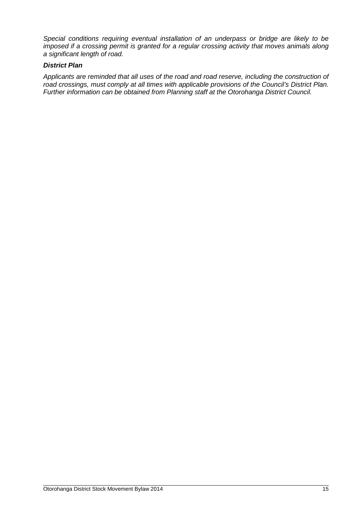Special conditions requiring eventual installation of an underpass or bridge are likely to be imposed if a crossing permit is granted for a regular crossing activity that moves animals along a significant length of road.

#### **District Plan**

Applicants are reminded that all uses of the road and road reserve, including the construction of road crossings, must comply at all times with applicable provisions of the Council's District Plan. Further information can be obtained from Planning staff at the Otorohanga District Council.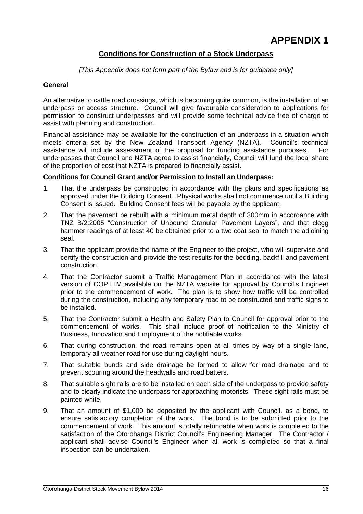## **Conditions for Construction of a Stock Underpass**

[This Appendix does not form part of the Bylaw and is for guidance only]

#### **General**

An alternative to cattle road crossings, which is becoming quite common, is the installation of an underpass or access structure. Council will give favourable consideration to applications for permission to construct underpasses and will provide some technical advice free of charge to assist with planning and construction.

Financial assistance may be available for the construction of an underpass in a situation which meets criteria set by the New Zealand Transport Agency (NZTA). Council's technical assistance will include assessment of the proposal for funding assistance purposes. For underpasses that Council and NZTA agree to assist financially, Council will fund the local share of the proportion of cost that NZTA is prepared to financially assist.

#### **Conditions for Council Grant and/or Permission to Install an Underpass:**

- 1. That the underpass be constructed in accordance with the plans and specifications as approved under the Building Consent. Physical works shall not commence until a Building Consent is issued. Building Consent fees will be payable by the applicant.
- 2. That the pavement be rebuilt with a minimum metal depth of 300mm in accordance with TNZ B/2:2005 "Construction of Unbound Granular Pavement Layers", and that clegg hammer readings of at least 40 be obtained prior to a two coat seal to match the adjoining seal.
- 3. That the applicant provide the name of the Engineer to the project, who will supervise and certify the construction and provide the test results for the bedding, backfill and pavement construction.
- 4. That the Contractor submit a Traffic Management Plan in accordance with the latest version of COPTTM available on the NZTA website for approval by Council's Engineer prior to the commencement of work. The plan is to show how traffic will be controlled during the construction, including any temporary road to be constructed and traffic signs to be installed.
- 5. That the Contractor submit a Health and Safety Plan to Council for approval prior to the commencement of works. This shall include proof of notification to the Ministry of Business, Innovation and Employment of the notifiable works.
- 6. That during construction, the road remains open at all times by way of a single lane, temporary all weather road for use during daylight hours.
- 7. That suitable bunds and side drainage be formed to allow for road drainage and to prevent scouring around the headwalls and road batters.
- 8. That suitable sight rails are to be installed on each side of the underpass to provide safety and to clearly indicate the underpass for approaching motorists. These sight rails must be painted white.
- 9. That an amount of \$1,000 be deposited by the applicant with Council. as a bond, to ensure satisfactory completion of the work. The bond is to be submitted prior to the commencement of work. This amount is totally refundable when work is completed to the satisfaction of the Otorohanga District Council's Engineering Manager. The Contractor / applicant shall advise Council's Engineer when all work is completed so that a final inspection can be undertaken.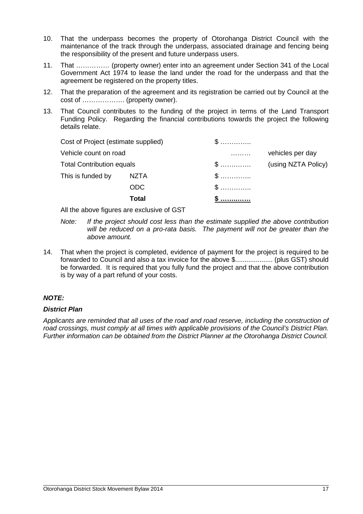- 10. That the underpass becomes the property of Otorohanga District Council with the maintenance of the track through the underpass, associated drainage and fencing being the responsibility of the present and future underpass users.
- 11. That …………… (property owner) enter into an agreement under Section 341 of the Local Government Act 1974 to lease the land under the road for the underpass and that the agreement be registered on the property titles.
- 12. That the preparation of the agreement and its registration be carried out by Council at the cost of ………………. (property owner).
- 13. That Council contributes to the funding of the project in terms of the Land Transport Funding Policy. Regarding the financial contributions towards the project the following details relate.

| Cost of Project (estimate supplied) |              | $\mathbb S$  |                     |
|-------------------------------------|--------------|--------------|---------------------|
| Vehicle count on road               |              | .            | vehicles per day    |
| <b>Total Contribution equals</b>    |              | $\mathbb{S}$ | (using NZTA Policy) |
| This is funded by                   | <b>NZTA</b>  | $\mathbb{S}$ |                     |
|                                     | <b>ODC</b>   | $\mathbb{S}$ |                     |
|                                     | <b>Total</b> |              |                     |

All the above figures are exclusive of GST

- Note: If the project should cost less than the estimate supplied the above contribution will be reduced on a pro-rata basis. The payment will not be greater than the above amount.
- 14. That when the project is completed, evidence of payment for the project is required to be forwarded to Council and also a tax invoice for the above \$.................... (plus GST) should be forwarded. It is required that you fully fund the project and that the above contribution is by way of a part refund of your costs.

## **NOTE:**

#### **District Plan**

Applicants are reminded that all uses of the road and road reserve, including the construction of road crossings, must comply at all times with applicable provisions of the Council's District Plan. Further information can be obtained from the District Planner at the Otorohanga District Council.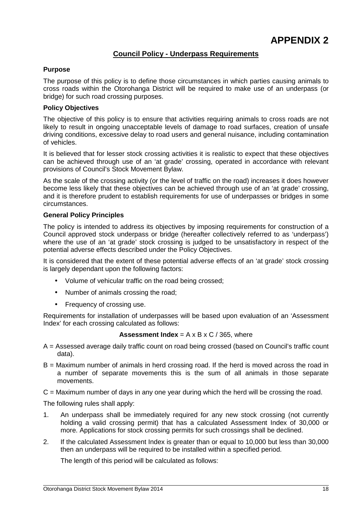#### **Council Policy - Underpass Requirements**

#### **Purpose**

The purpose of this policy is to define those circumstances in which parties causing animals to cross roads within the Otorohanga District will be required to make use of an underpass (or bridge) for such road crossing purposes.

#### **Policy Objectives**

The objective of this policy is to ensure that activities requiring animals to cross roads are not likely to result in ongoing unacceptable levels of damage to road surfaces, creation of unsafe driving conditions, excessive delay to road users and general nuisance, including contamination of vehicles.

It is believed that for lesser stock crossing activities it is realistic to expect that these objectives can be achieved through use of an 'at grade' crossing, operated in accordance with relevant provisions of Council's Stock Movement Bylaw.

As the scale of the crossing activity (or the level of traffic on the road) increases it does however become less likely that these objectives can be achieved through use of an 'at grade' crossing, and it is therefore prudent to establish requirements for use of underpasses or bridges in some circumstances.

#### **General Policy Principles**

The policy is intended to address its objectives by imposing requirements for construction of a Council approved stock underpass or bridge (hereafter collectively referred to as 'underpass') where the use of an 'at grade' stock crossing is judged to be unsatisfactory in respect of the potential adverse effects described under the Policy Objectives.

It is considered that the extent of these potential adverse effects of an 'at grade' stock crossing is largely dependant upon the following factors:

- Volume of vehicular traffic on the road being crossed;
- Number of animals crossing the road;
- Frequency of crossing use.

Requirements for installation of underpasses will be based upon evaluation of an 'Assessment Index' for each crossing calculated as follows:

#### **Assessment Index** =  $A \times B \times C / 365$ , where

- A = Assessed average daily traffic count on road being crossed (based on Council's traffic count data).
- B = Maximum number of animals in herd crossing road. If the herd is moved across the road in a number of separate movements this is the sum of all animals in those separate movements.
- C = Maximum number of days in any one year during which the herd will be crossing the road.

The following rules shall apply:

- 1. An underpass shall be immediately required for any new stock crossing (not currently holding a valid crossing permit) that has a calculated Assessment Index of 30,000 or more. Applications for stock crossing permits for such crossings shall be declined.
- 2. If the calculated Assessment Index is greater than or equal to 10,000 but less than 30,000 then an underpass will be required to be installed within a specified period.

The length of this period will be calculated as follows: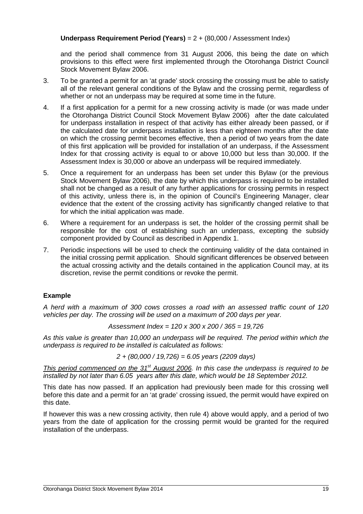#### **Underpass Requirement Period (Years)** = 2 + (80,000 / Assessment Index)

and the period shall commence from 31 August 2006, this being the date on which provisions to this effect were first implemented through the Otorohanga District Council Stock Movement Bylaw 2006.

- 3. To be granted a permit for an 'at grade' stock crossing the crossing must be able to satisfy all of the relevant general conditions of the Bylaw and the crossing permit, regardless of whether or not an underpass may be required at some time in the future.
- 4. If a first application for a permit for a new crossing activity is made (or was made under the Otorohanga District Council Stock Movement Bylaw 2006) after the date calculated for underpass installation in respect of that activity has either already been passed, or if the calculated date for underpass installation is less than eighteen months after the date on which the crossing permit becomes effective, then a period of two years from the date of this first application will be provided for installation of an underpass, if the Assessment Index for that crossing activity is equal to or above 10,000 but less than 30,000. If the Assessment Index is 30,000 or above an underpass will be required immediately.
- 5. Once a requirement for an underpass has been set under this Bylaw (or the previous Stock Movement Bylaw 2006), the date by which this underpass is required to be installed shall not be changed as a result of any further applications for crossing permits in respect of this activity, unless there is, in the opinion of Council's Engineering Manager, clear evidence that the extent of the crossing activity has significantly changed relative to that for which the initial application was made.
- 6. Where a requirement for an underpass is set, the holder of the crossing permit shall be responsible for the cost of establishing such an underpass, excepting the subsidy component provided by Council as described in Appendix 1.
- 7. Periodic inspections will be used to check the continuing validity of the data contained in the initial crossing permit application. Should significant differences be observed between the actual crossing activity and the details contained in the application Council may, at its discretion, revise the permit conditions or revoke the permit.

#### **Example**

A herd with a maximum of 300 cows crosses a road with an assessed traffic count of 120 vehicles per day. The crossing will be used on a maximum of 200 days per year.

Assessment Index = 120 x 300 x 200 / 365 = 19,726

As this value is greater than 10,000 an underpass will be required. The period within which the underpass is required to be installed is calculated as follows:

$$
2 + (80,000 / 19,726) = 6.05
$$
 years (2209 days)

This period commenced on the  $31<sup>st</sup>$  August 2006. In this case the underpass is required to be installed by not later than 6.05 years after this date, which would be 18 September 2012.

This date has now passed. If an application had previously been made for this crossing well before this date and a permit for an 'at grade' crossing issued, the permit would have expired on this date.

If however this was a new crossing activity, then rule 4) above would apply, and a period of two years from the date of application for the crossing permit would be granted for the required installation of the underpass.